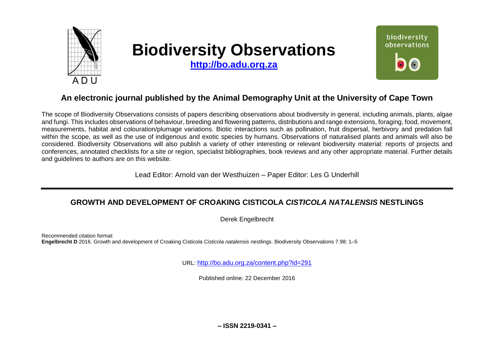

# **Biodiversity Observations**

**[http://bo.adu.org.za](http://bo.adu.org.za/)**



# **An electronic journal published by the Animal Demography Unit at the University of Cape Town**

The scope of Biodiversity Observations consists of papers describing observations about biodiversity in general, including animals, plants, algae and fungi. This includes observations of behaviour, breeding and flowering patterns, distributions and range extensions, foraging, food, movement, measurements, habitat and colouration/plumage variations. Biotic interactions such as pollination, fruit dispersal, herbivory and predation fall within the scope, as well as the use of indigenous and exotic species by humans. Observations of naturalised plants and animals will also be considered. Biodiversity Observations will also publish a variety of other interesting or relevant biodiversity material: reports of projects and conferences, annotated checklists for a site or region, specialist bibliographies, book reviews and any other appropriate material. Further details and guidelines to authors are on this website.

Lead Editor: Arnold van der Westhuizen – Paper Editor: Les G Underhill

## **GROWTH AND DEVELOPMENT OF CROAKING CISTICOLA** *CISTICOLA NATALENSIS* **NESTLINGS**

Derek Engelbrecht

Recommended citation format: **Engelbrecht D** 2016. Growth and development of Croaking Cisticola *Cisticola natalensis* nestlings. Biodiversity Observations 7.98: 1–5

URL: <http://bo.adu.org.za/content.php?id=291>

Published online: 22 December 2016

**– ISSN 2219-0341 –**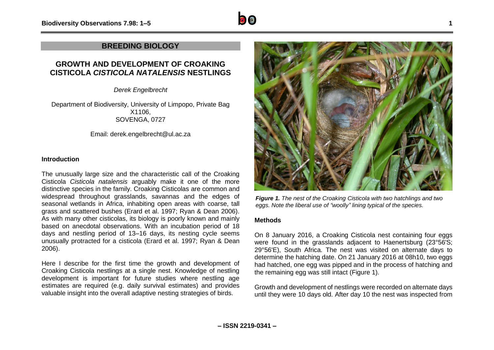

### **BREEDING BIOLOGY**

## **GROWTH AND DEVELOPMENT OF CROAKING CISTICOLA** *CISTICOLA NATALENSIS* **NESTLINGS**

*Derek Engelbrecht*

Department of Biodiversity, University of Limpopo, Private Bag X1106, SOVENGA, 0727

Email: derek.engelbrecht@ul.ac.za

#### **Introduction**

The unusually large size and the characteristic call of the Croaking Cisticola *Cisticola natalensis* arguably make it one of the more distinctive species in the family. Croaking Cisticolas are common and widespread throughout grasslands, savannas and the edges of seasonal wetlands in Africa, inhabiting open areas with coarse, tall grass and scattered bushes (Erard et al. 1997; Ryan & Dean 2006). As with many other cisticolas, its biology is poorly known and mainly based on anecdotal observations. With an incubation period of 18 days and nestling period of 13–16 days, its nesting cycle seems unusually protracted for a cisticola (Erard et al. 1997; Ryan & Dean 2006).

Here I describe for the first time the growth and development of Croaking Cisticola nestlings at a single nest. Knowledge of nestling development is important for future studies where nestling age estimates are required (e.g. daily survival estimates) and provides valuable insight into the overall adaptive nesting strategies of birds.



*Figure 1. The nest of the Croaking Cisticola with two hatchlings and two eggs. Note the liberal use of "woolly" lining typical of the species.*

#### **Methods**

On 8 January 2016, a Croaking Cisticola nest containing four eggs were found in the grasslands adjacent to Haenertsburg (23°56'S; 29°56'E), South Africa. The nest was visited on alternate days to determine the hatching date. On 21 January 2016 at 08h10, two eggs had hatched, one egg was pipped and in the process of hatching and the remaining egg was still intact (Figure 1).

Growth and development of nestlings were recorded on alternate days until they were 10 days old. After day 10 the nest was inspected from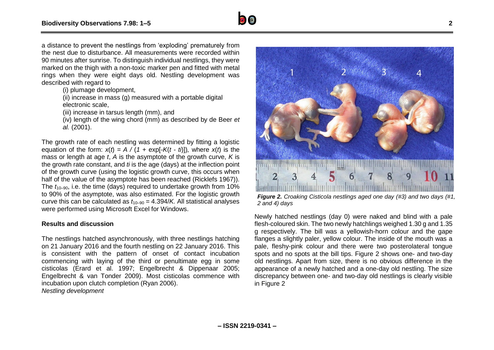

(i) plumage development,

 $(iii)$  increase in mass (g) measured with a portable digital electronic scale,

(iii) increase in tarsus length (mm), and

(iv) length of the wing chord (mm) as described by de Beer *et al.* (2001).

The growth rate of each nestling was determined by fitting a logistic equation of the form:  $x(t) = A/(1 + \exp[-K(t - t))]$ , where  $x(t)$  is the mass or length at age *t*, *A* is the asymptote of the growth curve, *K* is the growth rate constant, and *ti* is the age (days) at the inflection point of the growth curve (using the logistic growth curve, this occurs when half of the value of the asymptote has been reached (Ricklefs 1967)). The  $t_{10-90}$ , i.e. the time (days) required to undertake growth from 10% to 90% of the asymptote, was also estimated. For the logistic growth curve this can be calculated as  $t_{10-90} = 4.394/K$ . All statistical analyses were performed using Microsoft Excel for Windows.

#### **Results and discussion**

The nestlings hatched asynchronously, with three nestlings hatching on 21 January 2016 and the fourth nestling on 22 January 2016. This is consistent with the pattern of onset of contact incubation commencing with laying of the third or penultimate egg in some cisticolas (Erard et al. 1997; Engelbrecht & Dippenaar 2005; Engelbrecht & van Tonder 2009). Most cisticolas commence with incubation upon clutch completion (Ryan 2006). *Nestling development*



*Figure 2. Croaking Cisticola nestlings aged one day (#3) and two days (#1, 2 and 4) days*

Newly hatched nestlings (day 0) were naked and blind with a pale flesh-coloured skin. The two newly hatchlings weighed 1.30 g and 1.35 g respectively. The bill was a yellowish-horn colour and the gape flanges a slightly paler, yellow colour. The inside of the mouth was a pale, fleshy-pink colour and there were two posterolateral tongue spots and no spots at the bill tips. Figure 2 shows one- and two-day old nestlings. Apart from size, there is no obvious difference in the appearance of a newly hatched and a one-day old nestling. The size discrepancy between one- and two-day old nestlings is clearly visible in Figure 2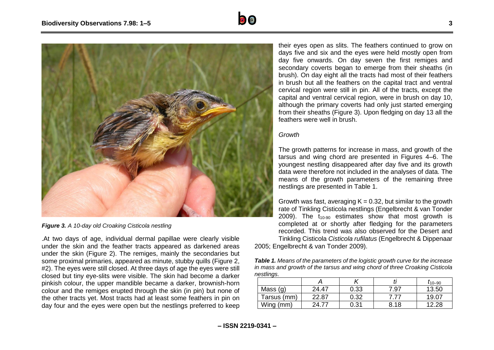



*Figure 3. A 10-day old Croaking Cisticola nestling*

.At two days of age, individual dermal papillae were clearly visible under the skin and the feather tracts appeared as darkened areas under the skin (Figure 2). The remiges, mainly the secondaries but some proximal primaries, appeared as minute, stubby quills (Figure 2, #2). The eyes were still closed. At three days of age the eyes were still closed but tiny eye-slits were visible. The skin had become a darker pinkish colour, the upper mandible became a darker, brownish-horn colour and the remiges erupted through the skin (in pin) but none of the other tracts yet. Most tracts had at least some feathers in pin on day four and the eyes were open but the nestlings preferred to keep

their eyes open as slits. The feathers continued to grow on days five and six and the eyes were held mostly open from day five onwards. On day seven the first remiges and secondary coverts began to emerge from their sheaths (in brush). On day eight all the tracts had most of their feathers in brush but all the feathers on the capital tract and ventral cervical region were still in pin. All of the tracts, except the capital and ventral cervical region, were in brush on day 10, although the primary coverts had only just started emerging from their sheaths (Figure 3). Upon fledging on day 13 all the feathers were well in brush.

#### *Growth*

The growth patterns for increase in mass, and growth of the tarsus and wing chord are presented in Figures 4–6. The youngest nestling disappeared after day five and its growth data were therefore not included in the analyses of data. The means of the growth parameters of the remaining three nestlings are presented in Table 1.

Growth was fast, averaging  $K = 0.32$ , but similar to the growth rate of Tinkling Cisticola nestlings (Engelbrecht & van Tonder 2009). The  $t_{10-90}$  estimates show that most growth is completed at or shortly after fledging for the parameters recorded. This trend was also observed for the Desert and Tinkling Cisticola *Cisticola rufilatus* (Engelbrecht & Dippenaar 2005; Engelbrecht & van Tonder 2009).

*Table 1. Means of the parameters of the logistic growth curve for the increase in mass and growth of the tarsus and wing chord of three Croaking Cisticola nestlings.* 

|             |                   |      |      | $I_{10-90}$ |
|-------------|-------------------|------|------|-------------|
| Mass (g)    | 24.47             | 0.33 | 7.97 | 13.50       |
| Tarsus (mm) | 22.87             | 0.32 |      | 19.07       |
| Wing (mm)   | 24.7 <sub>1</sub> | 0.31 | 8.18 | 12.28       |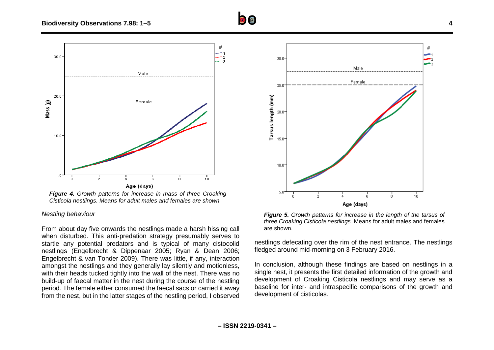

*Figure 4. Growth patterns for increase in mass of three Croaking Cisticola nestlings. Means for adult males and females are shown.*

#### *Nestling behaviour*

From about day five onwards the nestlings made a harsh hissing call when disturbed. This anti-predation strategy presumably serves to startle any potential predators and is typical of many cistocolid nestlings (Engelbrecht & Dippenaar 2005; Ryan & Dean 2006; Engelbrecht & van Tonder 2009). There was little, if any, interaction amongst the nestlings and they generally lay silently and motionless, with their heads tucked tightly into the wall of the nest. There was no build-up of faecal matter in the nest during the course of the nestling period. The female either consumed the faecal sacs or carried it away from the nest, but in the latter stages of the nestling period, I observed



*Figure 5. Growth patterns for increase in the length of the tarsus of three Croaking Cisticola nestlings*. Means for adult males and females are shown.

nestlings defecating over the rim of the nest entrance. The nestlings fledged around mid-morning on 3 February 2016.

In conclusion, although these findings are based on nestlings in a single nest, it presents the first detailed information of the growth and development of Croaking Cisticola nestlings and may serve as a baseline for inter- and intraspecific comparisons of the growth and development of cisticolas.